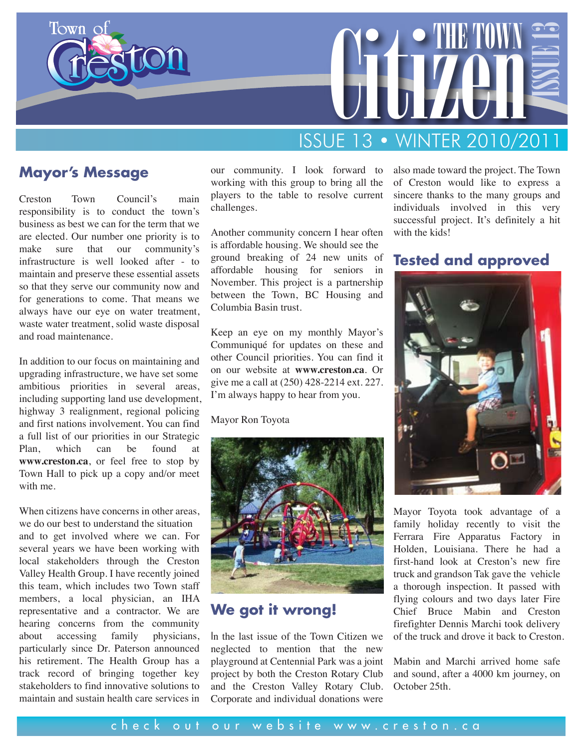



# ISSUE 13 • WINTER 2010/2011

### **Mayor's Message**

Creston Town Council's main responsibility is to conduct the town's business as best we can for the term that we are elected. Our number one priority is to make sure that our community's infrastructure is well looked after - to maintain and preserve these essential assets so that they serve our community now and for generations to come. That means we always have our eye on water treatment, waste water treatment, solid waste disposal and road maintenance.

In addition to our focus on maintaining and upgrading infrastructure, we have set some ambitious priorities in several areas, including supporting land use development, highway 3 realignment, regional policing and first nations involvement. You can find a full list of our priorities in our Strategic Plan, which can be found at **www.creston.ca**, or feel free to stop by Town Hall to pick up a copy and/or meet with me.

When citizens have concerns in other areas. we do our best to understand the situation and to get involved where we can. For several years we have been working with local stakeholders through the Creston Valley Health Group. I have recently joined this team, which includes two Town staff members, a local physician, an IHA representative and a contractor. We are hearing concerns from the community about accessing family physicians, particularly since Dr. Paterson announced his retirement. The Health Group has a track record of bringing together key stakeholders to find innovative solutions to maintain and sustain health care services in

our community. I look forward to working with this group to bring all the players to the table to resolve current challenges.

Another community concern I hear often is affordable housing. We should see the ground breaking of 24 new units of affordable housing for seniors in November. This project is a partnership between the Town, BC Housing and Columbia Basin trust.

Keep an eye on my monthly Mayor's Communiqué for updates on these and other Council priorities. You can find it on our website at **www.creston.ca**. Or give me a call at (250) 428-2214 ext. 227. I'm always happy to hear from you.

#### Mayor Ron Toyota



### **We got it wrong!**

In the last issue of the Town Citizen we neglected to mention that the new playground at Centennial Park was a joint project by both the Creston Rotary Club and the Creston Valley Rotary Club. Corporate and individual donations were also made toward the project. The Town of Creston would like to express a sincere thanks to the many groups and individuals involved in this very successful project. It's definitely a hit with the kids!

### **Tested and approved**



Mayor Toyota took advantage of a family holiday recently to visit the Ferrara Fire Apparatus Factory in Holden, Louisiana. There he had a first-hand look at Creston's new fire truck and grandson Tak gave the vehicle a thorough inspection. It passed with flying colours and two days later Fire Chief Bruce Mabin and Creston firefighter Dennis Marchi took delivery of the truck and drove it back to Creston.

Mabin and Marchi arrived home safe and sound, after a 4000 km journey, on October 25th.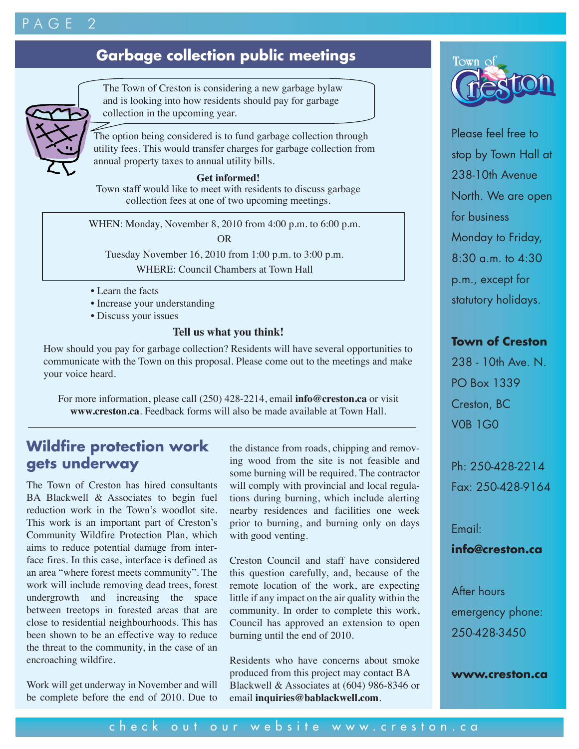## $\overline{P}$  A G  $E$

## **Garbage collection public meetings**



The Town of Creston is considering a new garbage bylaw and is looking into how residents should pay for garbage collection in the upcoming year.

The option being considered is to fund garbage collection through utility fees. This would transfer charges for garbage collection from annual property taxes to annual utility bills.

#### **Get informed!**

Town staff would like to meet with residents to discuss garbage collection fees at one of two upcoming meetings.

WHEN: Monday, November 8, 2010 from 4:00 p.m. to 6:00 p.m. OR

Tuesday November 16, 2010 from 1:00 p.m. to 3:00 p.m.

WHERE: Council Chambers at Town Hall

- Learn the facts
- Increase your understanding
- Discuss your issues

#### **Tell us what you think!**

How should you pay for garbage collection? Residents will have several opportunities to communicate with the Town on this proposal. Please come out to the meetings and make your voice heard.

For more information, please call (250) 428-2214, email **info@creston.ca** or visit **www.creston.ca**. Feedback forms will also be made available at Town Hall.

### **Wildfire protection work gets underway**

The Town of Creston has hired consultants BA Blackwell & Associates to begin fuel reduction work in the Town's woodlot site. This work is an important part of Creston's Community Wildfire Protection Plan, which aims to reduce potential damage from interface fires. In this case, interface is defined as an area "where forest meets community". The work will include removing dead trees, forest undergrowth and increasing the space between treetops in forested areas that are close to residential neighbourhoods. This has been shown to be an effective way to reduce the threat to the community, in the case of an encroaching wildfire.

Work will get underway in November and will be complete before the end of 2010. Due to the distance from roads, chipping and removing wood from the site is not feasible and some burning will be required. The contractor will comply with provincial and local regulations during burning, which include alerting nearby residences and facilities one week prior to burning, and burning only on days with good venting.

Creston Council and staff have considered this question carefully, and, because of the remote location of the work, are expecting little if any impact on the air quality within the community. In order to complete this work, Council has approved an extension to open burning until the end of 2010.

Residents who have concerns about smoke produced from this project may contact BA Blackwell & Associates at (604) 986-8346 or email **inquiries@bablackwell.com**.



Please feel free to stop by Town Hall at 238-10th Avenue North. We are open for business Monday to Friday, 8:30 a.m. to 4:30 p.m., except for statutory holidays.

### **Town of Creston**

238 - 10th Ave. N. PO Box 1339 Creston, BC V0B 1G0

Ph: 250-428-2214 Fax: 250-428-9164

Email:

### **info@creston.ca**

After hours emergency phone: 250-428-3450

#### **www.creston.ca**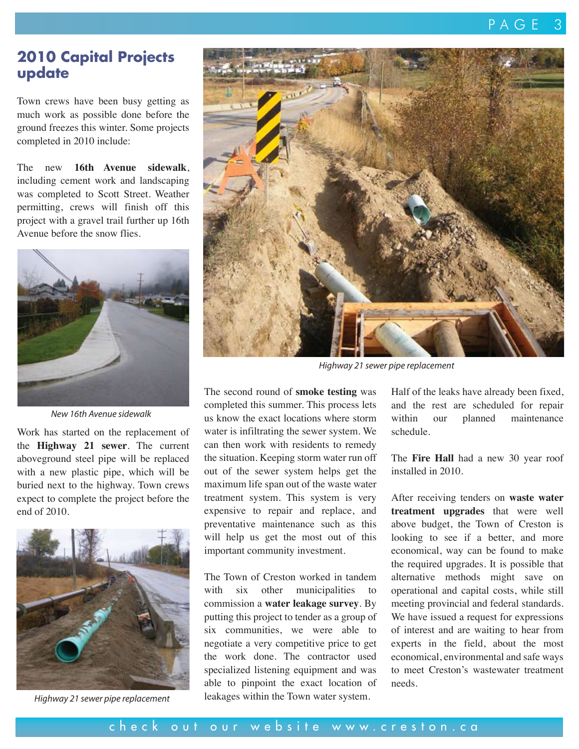### **2010 Capital Projects update**

Town crews have been busy getting as much work as possible done before the ground freezes this winter. Some projects completed in 2010 include:

The new **16th Avenue sidewalk**, including cement work and landscaping was completed to Scott Street. Weather permitting, crews will finish off this project with a gravel trail further up 16th Avenue before the snow flies.



*New 16th Avenue sidewalk*

Work has started on the replacement of the **Highway 21 sewer**. The current aboveground steel pipe will be replaced with a new plastic pipe, which will be buried next to the highway. Town crews expect to complete the project before the end of 2010.



*Highway 21 sewer pipe replacement*



*Highway 21 sewer pipe replacement*

The second round of **smoke testing** was completed this summer. This process lets us know the exact locations where storm water is infiltrating the sewer system. We can then work with residents to remedy the situation. Keeping storm water run off out of the sewer system helps get the maximum life span out of the waste water treatment system. This system is very expensive to repair and replace, and preventative maintenance such as this will help us get the most out of this important community investment.

The Town of Creston worked in tandem with six other municipalities commission a **water leakage survey**. By putting this project to tender as a group of six communities, we were able to negotiate a very competitive price to get the work done. The contractor used specialized listening equipment and was able to pinpoint the exact location of leakages within the Town water system.

Half of the leaks have already been fixed, and the rest are scheduled for repair within our planned maintenance schedule.

The **Fire Hall** had a new 30 year roof installed in 2010.

After receiving tenders on **waste water treatment upgrades** that were well above budget, the Town of Creston is looking to see if a better, and more economical, way can be found to make the required upgrades. It is possible that alternative methods might save on operational and capital costs, while still meeting provincial and federal standards. We have issued a request for expressions of interest and are waiting to hear from experts in the field, about the most economical, environmental and safe ways to meet Creston's wastewater treatment needs.